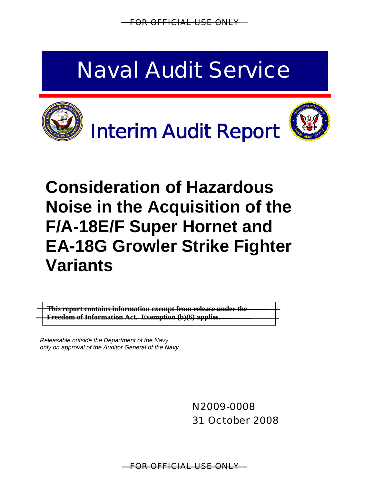FOR OFFICIAL USE ONLY

# Naval Audit Service







## **Consideration of Hazardous Noise in the Acquisition of the F/A-18E/F Super Hornet and EA-18G Growler Strike Fighter Variants**

**This report contains information exempt from release under the Freedom of Information Act. Exemption (b)(6) applies.** 

*Releasable outside the Department of the Navy only on approval of the Auditor General of the Navy*

> N2009-0008 31 October 2008

FOR OFFICIAL USE ONLY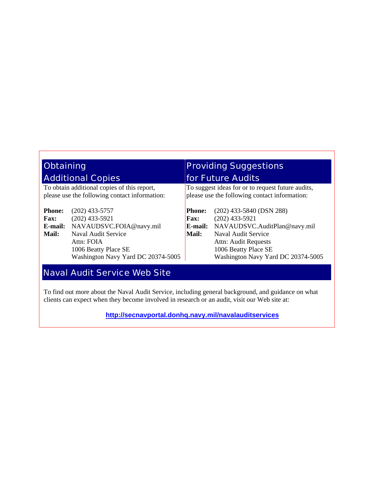| <b>Obtaining</b>                                                                             |                                                                                                                                                                    | <b>Providing Suggestions</b>                                                                       |                                                                                                                                                                                             |  |  |  |  |
|----------------------------------------------------------------------------------------------|--------------------------------------------------------------------------------------------------------------------------------------------------------------------|----------------------------------------------------------------------------------------------------|---------------------------------------------------------------------------------------------------------------------------------------------------------------------------------------------|--|--|--|--|
|                                                                                              | <b>Additional Copies</b>                                                                                                                                           |                                                                                                    | <b>for Future Audits</b>                                                                                                                                                                    |  |  |  |  |
| To obtain additional copies of this report,<br>please use the following contact information: |                                                                                                                                                                    | To suggest ideas for or to request future audits,<br>please use the following contact information: |                                                                                                                                                                                             |  |  |  |  |
| <b>Phone:</b><br><b>Fax:</b><br>E-mail:<br>Mail:                                             | $(202)$ 433-5757<br>$(202)$ 433-5921<br>NAVAUDSVC.FOIA@navy.mil<br>Naval Audit Service<br>Attn: FOIA<br>1006 Beatty Place SE<br>Washington Navy Yard DC 20374-5005 | <b>Phone:</b><br><b>Fax:</b><br>E-mail:<br><b>Mail:</b>                                            | $(202)$ 433-5840 (DSN 288)<br>$(202)$ 433-5921<br>NAVAUDSVC.AuditPlan@navy.mil<br>Naval Audit Service<br>Attn: Audit Requests<br>1006 Beatty Place SE<br>Washington Navy Yard DC 20374-5005 |  |  |  |  |

#### Naval Audit Service Web Site

To find out more about the Naval Audit Service, including general background, and guidance on what clients can expect when they become involved in research or an audit, visit our Web site at:

**<http://secnavportal.donhq.navy.mil/navalauditservices>**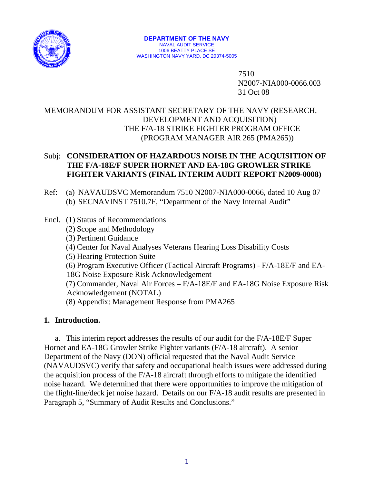

 7510 N2007-NIA000-0066.003 31 Oct 08

#### MEMORANDUM FOR ASSISTANT SECRETARY OF THE NAVY (RESEARCH, DEVELOPMENT AND ACQUISITION) THE F/A-18 STRIKE FIGHTER PROGRAM OFFICE (PROGRAM MANAGER AIR 265 (PMA265))

#### Subj: **CONSIDERATION OF HAZARDOUS NOISE IN THE ACQUISITION OF THE F/A-18E/F SUPER HORNET AND EA-18G GROWLER STRIKE FIGHTER VARIANTS (FINAL INTERIM AUDIT REPORT N2009-0008)**

- Ref: (a) NAVAUDSVC Memorandum 7510 N2007-NIA000-0066, dated 10 Aug 07 (b) SECNAVINST 7510.7F, "Department of the Navy Internal Audit"
- Encl. (1) [Status of Recommendations](#page-20-0)  (2) [Scope and Methodology](#page-21-0) (3) [Pertinent Guidance](#page-23-0) (4) [Center for Naval Analyses Veterans Hearing Loss Disability Costs](#page-25-0) (5) [Hearing Protection Suite](#page-26-0) (6) [Program Executive Officer \(Tactical Aircraft Programs\) - F/A-18E/F and EA-](#page-27-0)[18G Noise Exposure Risk Acknowledgement](#page-27-0) (7) [Commander, Naval Air Forces – F/A-18E/F and EA-18G Noise Exposure Risk](#page-29-0)  [Acknowledgement \(NOTAL\)](#page-29-0) (8) Appendix: Management Response from PMA265

#### **1. Introduction.**

 a. This interim report addresses the results of our audit for the F/A-18E/F Super Hornet and EA-18G Growler Strike Fighter variants (F/A-18 aircraft). A senior Department of the Navy (DON) official requested that the Naval Audit Service (NAVAUDSVC) verify that safety and occupational health issues were addressed during the acquisition process of the F/A-18 aircraft through efforts to mitigate the identified noise hazard. We determined that there were opportunities to improve the mitigation of the flight-line/deck jet noise hazard. Details on our F/A-18 audit results are presented in Paragraph 5, "Summary of Audit Results and Conclusions."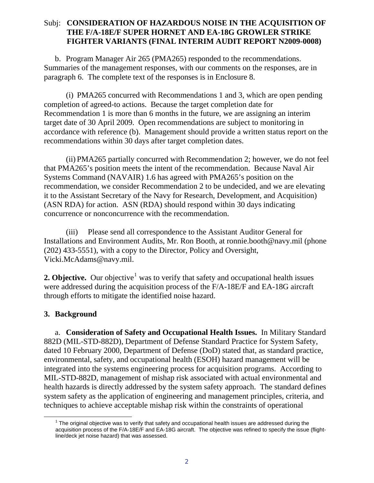b. Program Manager Air 265 (PMA265) responded to the recommendations. Summaries of the management responses, with our comments on the responses, are in paragraph 6. The complete text of the responses is in Enclosure 8.

 (i) PMA265 concurred with Recommendations 1 and 3, which are open pending completion of agreed-to actions. Because the target completion date for Recommendation 1 is more than 6 months in the future, we are assigning an interim target date of 30 April 2009. Open recommendations are subject to monitoring in accordance with reference (b). Management should provide a written status report on the recommendations within 30 days after target completion dates.

 (ii) PMA265 partially concurred with Recommendation 2; however, we do not feel that PMA265's position meets the intent of the recommendation. Because Naval Air Systems Command (NAVAIR) 1.6 has agreed with PMA265's position on the recommendation, we consider Recommendation 2 to be undecided, and we are elevating it to the Assistant Secretary of the Navy for Research, Development, and Acquisition) (ASN RDA) for action. ASN (RDA) should respond within 30 days indicating concurrence or nonconcurrence with the recommendation.

 (iii) Please send all correspondence to the Assistant Auditor General for Installations and Environment Audits, Mr. Ron Booth, at ronnie.booth@navy.mil (phone (202) 433-5551), with a copy to the Director, Policy and Oversight, [Vicki.McAdams@navy.mil](mailto:Vicki.McAdams@navy.mil).

**2. Objective.** Our objective<sup>[1](#page-3-0)</sup> was to verify that safety and occupational health issues were addressed during the acquisition process of the F/A-18E/F and EA-18G aircraft through efforts to mitigate the identified noise hazard.

#### **3. Background**

<span id="page-3-0"></span> $\overline{a}$ 

a. **Consideration of Safety and Occupational Health Issues.** In Military Standard 882D (MIL-STD-882D), Department of Defense Standard Practice for System Safety, dated 10 February 2000, Department of Defense (DoD) stated that, as standard practice, environmental, safety, and occupational health (ESOH) hazard management will be integrated into the systems engineering process for acquisition programs. According to MIL-STD-882D, management of mishap risk associated with actual environmental and health hazards is directly addressed by the system safety approach. The standard defines system safety as the application of engineering and management principles, criteria, and techniques to achieve acceptable mishap risk within the constraints of operational

 $1$  The original objective was to verify that safety and occupational health issues are addressed during the acquisition process of the F/A-18E/F and EA-18G aircraft. The objective was refined to specify the issue (flightline/deck jet noise hazard) that was assessed.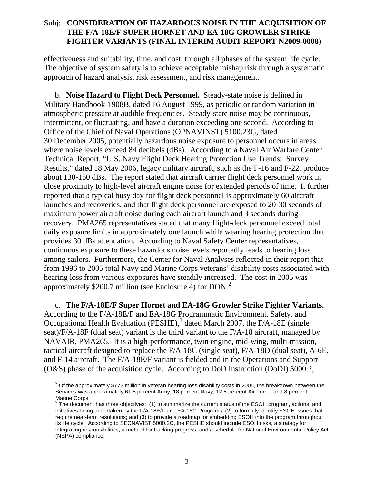effectiveness and suitability, time, and cost, through all phases of the system life cycle. The objective of system safety is to achieve acceptable mishap risk through a systematic approach of hazard analysis, risk assessment, and risk management.

b. **Noise Hazard to Flight Deck Personnel.** Steady-state noise is defined in Military Handbook-1908B, dated 16 August 1999, as periodic or random variation in atmospheric pressure at audible frequencies. Steady-state noise may be continuous, intermittent, or fluctuating, and have a duration exceeding one second. According to Office of the Chief of Naval Operations (OPNAVINST) 5100.23G, dated 30 December 2005, potentially hazardous noise exposure to personnel occurs in areas where noise levels exceed 84 decibels (dBs). According to a Naval Air Warfare Center Technical Report, "U.S. Navy Flight Deck Hearing Protection Use Trends: Survey Results," dated 18 May 2006, legacy military aircraft, such as the F-16 and F-22, produce about 130-150 dBs. The report stated that aircraft carrier flight deck personnel work in close proximity to high-level aircraft engine noise for extended periods of time. It further reported that a typical busy day for flight deck personnel is approximately 60 aircraft launches and recoveries, and that flight deck personnel are exposed to 20-30 seconds of maximum power aircraft noise during each aircraft launch and 3 seconds during recovery. PMA265 representatives stated that many flight-deck personnel exceed total daily exposure limits in approximately one launch while wearing hearing protection that provides 30 dBs attenuation. According to Naval Safety Center representatives, continuous exposure to these hazardous noise levels reportedly leads to hearing loss among sailors. Furthermore, the Center for Naval Analyses reflected in their report that from 1996 to 2005 total Navy and Marine Corps veterans' disability costs associated with hearing loss from various exposures have steadily increased. The cost in 2005 was approximately \$200.7 million (see Enclosure 4) for DON.[2](#page-4-0)

c. **The F/A-18E/F Super Hornet and EA-18G Growler Strike Fighter Variants.**  According to the F/A-18E/F and EA-18G Programmatic Environment, Safety, and Occupational Health Evaluation (PESHE), $3$  dated March 2007, the F/A-18E (single seat)/F/A-18F (dual seat) variant is the third variant to the F/A-18 aircraft, managed by NAVAIR, PMA265. It is a high-performance, twin engine, mid-wing, multi-mission, tactical aircraft designed to replace the F/A-18C (single seat), F/A-18D (dual seat), A-6E, and F-14 aircraft. The F/A-18E/F variant is fielded and in the Operations and Support (O&S) phase of the acquisition cycle. According to DoD Instruction (DoDI) 5000.2,

<span id="page-4-1"></span><span id="page-4-0"></span> $\overline{a}$ 

 $2$  Of the approximately \$772 million in veteran hearing loss disability costs in 2005, the breakdown between the Services was approximately 61.5 percent Army, 18 percent Navy, 12.5 percent Air Force, and 8 percent Marine Corps.<br><sup>3</sup> The document has three objectives: (1) to summarize the current status of the ESOH program, actions, and

initiatives being undertaken by the F/A-18E/F and EA-18G Programs; (2) to formally identify ESOH issues that require near-term resolutions; and (3) to provide a roadmap for embedding ESOH into the program throughout its life cycle. According to SECNAVIST 5000.2C, the PESHE should include ESOH risks, a strategy for integrating responsibilities, a method for tracking progress, and a schedule for National Environmental Policy Act (NEPA) compliance.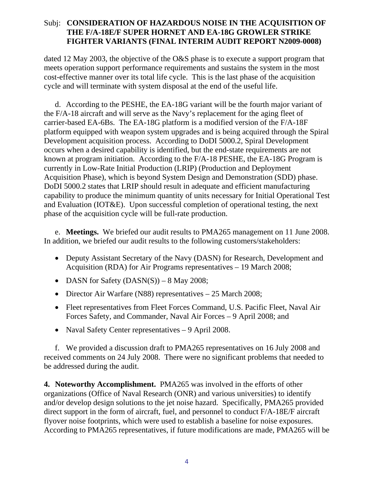dated 12 May 2003, the objective of the O&S phase is to execute a support program that meets operation support performance requirements and sustains the system in the most cost-effective manner over its total life cycle. This is the last phase of the acquisition cycle and will terminate with system disposal at the end of the useful life.

d. According to the PESHE, the EA-18G variant will be the fourth major variant of the F/A-18 aircraft and will serve as the Navy's replacement for the aging fleet of carrier-based EA-6Bs. The EA-18G platform is a modified version of the F/A-18F platform equipped with weapon system upgrades and is being acquired through the Spiral Development acquisition process. According to DoDI 5000.2, Spiral Development occurs when a desired capability is identified, but the end-state requirements are not known at program initiation. According to the F/A-18 PESHE, the EA-18G Program is currently in Low-Rate Initial Production (LRIP) (Production and Deployment Acquisition Phase), which is beyond System Design and Demonstration (SDD) phase. DoDI 5000.2 states that LRIP should result in adequate and efficient manufacturing capability to produce the minimum quantity of units necessary for Initial Operational Test and Evaluation (IOT&E). Upon successful completion of operational testing, the next phase of the acquisition cycle will be full-rate production.

e. **Meetings.** We briefed our audit results to PMA265 management on 11 June 2008. In addition, we briefed our audit results to the following customers/stakeholders:

- Deputy Assistant Secretary of the Navy (DASN) for Research, Development and Acquisition (RDA) for Air Programs representatives – 19 March 2008;
- DASN for Safety  $(DASN(S)) 8$  May 2008;
- Director Air Warfare (N88) representatives 25 March 2008;
- Fleet representatives from Fleet Forces Command, U.S. Pacific Fleet, Naval Air Forces Safety, and Commander, Naval Air Forces – 9 April 2008; and
- Naval Safety Center representatives 9 April 2008.

f. We provided a discussion draft to PMA265 representatives on 16 July 2008 and received comments on 24 July 2008. There were no significant problems that needed to be addressed during the audit.

**4. Noteworthy Accomplishment.** PMA265 was involved in the efforts of other organizations (Office of Naval Research (ONR) and various universities) to identify and/or develop design solutions to the jet noise hazard. Specifically, PMA265 provided direct support in the form of aircraft, fuel, and personnel to conduct F/A-18E/F aircraft flyover noise footprints, which were used to establish a baseline for noise exposures. According to PMA265 representatives, if future modifications are made, PMA265 will be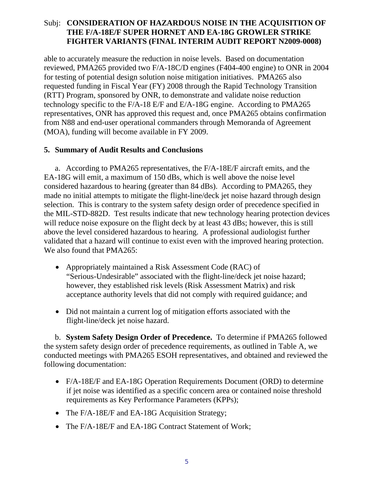able to accurately measure the reduction in noise levels. Based on documentation reviewed, PMA265 provided two F/A-18C/D engines (F404-400 engine) to ONR in 2004 for testing of potential design solution noise mitigation initiatives. PMA265 also requested funding in Fiscal Year (FY) 2008 through the Rapid Technology Transition (RTT) Program, sponsored by ONR, to demonstrate and validate noise reduction technology specific to the F/A-18 E/F and E/A-18G engine. According to PMA265 representatives, ONR has approved this request and, once PMA265 obtains confirmation from N88 and end-user operational commanders through Memoranda of Agreement (MOA), funding will become available in FY 2009.

#### **5. Summary of Audit Results and Conclusions**

a. According to PMA265 representatives, the F/A-18E/F aircraft emits, and the EA-18G will emit, a maximum of 150 dBs, which is well above the noise level considered hazardous to hearing (greater than 84 dBs). According to PMA265, they made no initial attempts to mitigate the flight-line/deck jet noise hazard through design selection. This is contrary to the system safety design order of precedence specified in the MIL-STD-882D. Test results indicate that new technology hearing protection devices will reduce noise exposure on the flight deck by at least 43 dBs; however, this is still above the level considered hazardous to hearing. A professional audiologist further validated that a hazard will continue to exist even with the improved hearing protection. We also found that PMA265:

- Appropriately maintained a Risk Assessment Code (RAC) of "Serious-Undesirable" associated with the flight-line/deck jet noise hazard; however, they established risk levels (Risk Assessment Matrix) and risk acceptance authority levels that did not comply with required guidance; and
- Did not maintain a current log of mitigation efforts associated with the flight-line/deck jet noise hazard.

b. **System Safety Design Order of Precedence.** To determine if PMA265 followed the system safety design order of precedence requirements, as outlined in Table A, we conducted meetings with PMA265 ESOH representatives, and obtained and reviewed the following documentation:

- F/A-18E/F and EA-18G Operation Requirements Document (ORD) to determine if jet noise was identified as a specific concern area or contained noise threshold requirements as Key Performance Parameters (KPPs);
- The F/A-18E/F and EA-18G Acquisition Strategy;
- The F/A-18E/F and EA-18G Contract Statement of Work;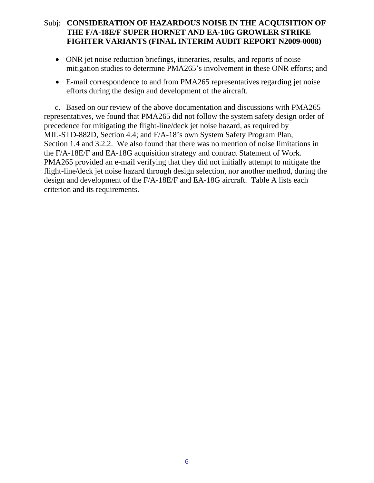- ONR jet noise reduction briefings, itineraries, results, and reports of noise mitigation studies to determine PMA265's involvement in these ONR efforts; and
- E-mail correspondence to and from PMA265 representatives regarding jet noise efforts during the design and development of the aircraft.

c. Based on our review of the above documentation and discussions with PMA265 representatives, we found that PMA265 did not follow the system safety design order of precedence for mitigating the flight-line/deck jet noise hazard, as required by MIL-STD-882D, Section 4.4; and F/A-18's own System Safety Program Plan, Section 1.4 and 3.2.2. We also found that there was no mention of noise limitations in the F/A-18E/F and EA-18G acquisition strategy and contract Statement of Work. PMA265 provided an e-mail verifying that they did not initially attempt to mitigate the flight-line/deck jet noise hazard through design selection, nor another method, during the design and development of the F/A-18E/F and EA-18G aircraft. Table A lists each criterion and its requirements.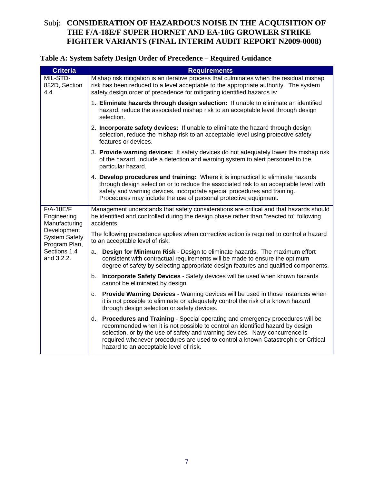#### **Table A: System Safety Design Order of Precedence – Required Guidance**

| <b>Criteria</b>                                      | <b>Requirements</b>                                                                                                                                                                                                                                                                                                                                                            |
|------------------------------------------------------|--------------------------------------------------------------------------------------------------------------------------------------------------------------------------------------------------------------------------------------------------------------------------------------------------------------------------------------------------------------------------------|
| MIL-STD-<br>882D, Section<br>4.4                     | Mishap risk mitigation is an iterative process that culminates when the residual mishap<br>risk has been reduced to a level acceptable to the appropriate authority. The system<br>safety design order of precedence for mitigating identified hazards is:                                                                                                                     |
|                                                      | 1. Eliminate hazards through design selection: If unable to eliminate an identified<br>hazard, reduce the associated mishap risk to an acceptable level through design<br>selection.                                                                                                                                                                                           |
|                                                      | 2. Incorporate safety devices: If unable to eliminate the hazard through design<br>selection, reduce the mishap risk to an acceptable level using protective safety<br>features or devices.                                                                                                                                                                                    |
|                                                      | 3. Provide warning devices: If safety devices do not adequately lower the mishap risk<br>of the hazard, include a detection and warning system to alert personnel to the<br>particular hazard.                                                                                                                                                                                 |
|                                                      | 4. Develop procedures and training: Where it is impractical to eliminate hazards<br>through design selection or to reduce the associated risk to an acceptable level with<br>safety and warning devices, incorporate special procedures and training.<br>Procedures may include the use of personal protective equipment.                                                      |
| $F/A-18E/F$<br>Engineering<br>Manufacturing          | Management understands that safety considerations are critical and that hazards should<br>be identified and controlled during the design phase rather than "reacted to" following<br>accidents.                                                                                                                                                                                |
| Development<br><b>System Safety</b><br>Program Plan, | The following precedence applies when corrective action is required to control a hazard<br>to an acceptable level of risk:                                                                                                                                                                                                                                                     |
| Sections 1.4<br>and 3.2.2.                           | Design for Minimum Risk - Design to eliminate hazards. The maximum effort<br>а.<br>consistent with contractual requirements will be made to ensure the optimum<br>degree of safety by selecting appropriate design features and qualified components.                                                                                                                          |
|                                                      | Incorporate Safety Devices - Safety devices will be used when known hazards<br>b.<br>cannot be eliminated by design.                                                                                                                                                                                                                                                           |
|                                                      | <b>Provide Warning Devices - Warning devices will be used in those instances when</b><br>C.<br>it is not possible to eliminate or adequately control the risk of a known hazard<br>through design selection or safety devices.                                                                                                                                                 |
|                                                      | d. Procedures and Training - Special operating and emergency procedures will be<br>recommended when it is not possible to control an identified hazard by design<br>selection, or by the use of safety and warning devices. Navy concurrence is<br>required whenever procedures are used to control a known Catastrophic or Critical<br>hazard to an acceptable level of risk. |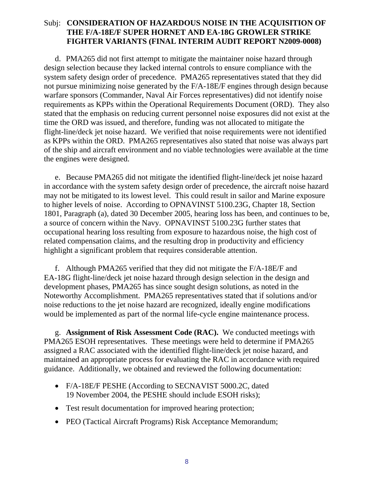d. PMA265 did not first attempt to mitigate the maintainer noise hazard through design selection because they lacked internal controls to ensure compliance with the system safety design order of precedence. PMA265 representatives stated that they did not pursue minimizing noise generated by the F/A-18E/F engines through design because warfare sponsors (Commander, Naval Air Forces representatives) did not identify noise requirements as KPPs within the Operational Requirements Document (ORD). They also stated that the emphasis on reducing current personnel noise exposures did not exist at the time the ORD was issued, and therefore, funding was not allocated to mitigate the flight-line/deck jet noise hazard. We verified that noise requirements were not identified as KPPs within the ORD. PMA265 representatives also stated that noise was always part of the ship and aircraft environment and no viable technologies were available at the time the engines were designed.

e. Because PMA265 did not mitigate the identified flight-line/deck jet noise hazard in accordance with the system safety design order of precedence, the aircraft noise hazard may not be mitigated to its lowest level. This could result in sailor and Marine exposure to higher levels of noise. According to OPNAVINST 5100.23G, Chapter 18, Section 1801, Paragraph (a), dated 30 December 2005, hearing loss has been, and continues to be, a source of concern within the Navy. OPNAVINST 5100.23G further states that occupational hearing loss resulting from exposure to hazardous noise, the high cost of related compensation claims, and the resulting drop in productivity and efficiency highlight a significant problem that requires considerable attention.

f. Although PMA265 verified that they did not mitigate the F/A-18E/F and EA-18G flight-line/deck jet noise hazard through design selection in the design and development phases, PMA265 has since sought design solutions, as noted in the Noteworthy Accomplishment. PMA265 representatives stated that if solutions and/or noise reductions to the jet noise hazard are recognized, ideally engine modifications would be implemented as part of the normal life-cycle engine maintenance process.

g. **Assignment of Risk Assessment Code (RAC).** We conducted meetings with PMA265 ESOH representatives. These meetings were held to determine if PMA265 assigned a RAC associated with the identified flight-line/deck jet noise hazard, and maintained an appropriate process for evaluating the RAC in accordance with required guidance. Additionally, we obtained and reviewed the following documentation:

- F/A-18E/F PESHE (According to SECNAVIST 5000.2C, dated 19 November 2004, the PESHE should include ESOH risks);
- Test result documentation for improved hearing protection;
- PEO (Tactical Aircraft Programs) Risk Acceptance Memorandum;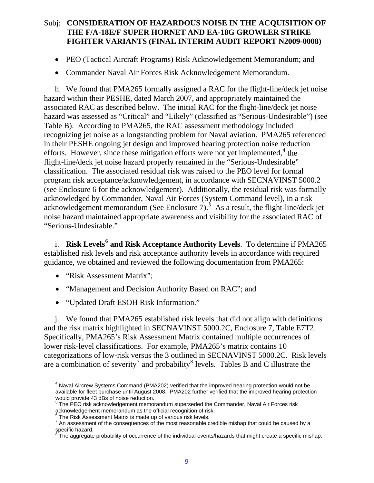- PEO (Tactical Aircraft Programs) Risk Acknowledgement Memorandum; and
- Commander Naval Air Forces Risk Acknowledgement Memorandum.

 h. We found that PMA265 formally assigned a RAC for the flight-line/deck jet noise hazard within their PESHE, dated March 2007, and appropriately maintained the associated RAC as described below. The initial RAC for the flight-line/deck jet noise hazard was assessed as "Critical" and "Likely" (classified as "Serious-Undesirable") (see Table B). According to PMA265, the RAC assessment methodology included recognizing jet noise as a longstanding problem for Naval aviation. PMA265 referenced in their PESHE ongoing jet design and improved hearing protection noise reduction efforts. However, since these mitigation efforts were not yet implemented, $4$  the flight-line/deck jet noise hazard properly remained in the "Serious-Undesirable" classification. The associated residual risk was raised to the PEO level for formal program risk acceptance/acknowledgement, in accordance with SECNAVINST 5000.2 (see Enclosure 6 for the acknowledgement). Additionally, the residual risk was formally acknowledged by Commander, Naval Air Forces (System Command level), in a risk acknowledgement memorandum (See Enclosure 7). $\frac{5}{9}$  $\frac{5}{9}$  $\frac{5}{9}$  As a result, the flight-line/deck jet noise hazard maintained appropriate awareness and visibility for the associated RAC of "Serious-Undesirable."

**[6](#page-10-2)** i. Risk Levels<sup>6</sup> and Risk Acceptance Authority Levels. To determine if PMA265 established risk levels and risk acceptance authority levels in accordance with required guidance, we obtained and reviewed the following documentation from PMA265:

• "Risk Assessment Matrix":

<span id="page-10-1"></span><span id="page-10-0"></span> $\overline{a}$ 

- "Management and Decision Authority Based on RAC"; and
- "Updated Draft ESOH Risk Information."

 j. We found that PMA265 established risk levels that did not align with definitions and the risk matrix highlighted in SECNAVINST 5000.2C, Enclosure 7, Table E7T2. Specifically, PMA265's Risk Assessment Matrix contained multiple occurrences of lower risk-level classifications. For example, PMA265's matrix contains 10 categorizations of low-risk versus the 3 outlined in SECNAVINST 5000.2C. Risk levels are a combination of severity<sup>[7](#page-10-3)</sup> and probability<sup>[8](#page-10-4)</sup> levels. Tables B and C illustrate the

<sup>&</sup>lt;sup>4</sup> Naval Aircrew Systems Command (PMA202) verified that the improved hearing protection would not be available for fleet purchase until August 2008. PMA202 further verified that the improved hearing protection would provide 43 dBs of noise reduction.<br><sup>5</sup> The BEO rick orknowledgement memor

The PEO risk acknowledgement memorandum superseded the Commander, Naval Air Forces risk acknowledgement memorandum as the official recognition of risk.

<sup>6</sup> The Risk Assessment Matrix is made up of various risk levels.

<span id="page-10-3"></span><span id="page-10-2"></span> $7$  An assessment of the consequences of the most reasonable credible mishap that could be caused by a specific hazard.<br><sup>8</sup> The essregate

<span id="page-10-4"></span>The aggregate probability of occurrence of the individual events/hazards that might create a specific mishap.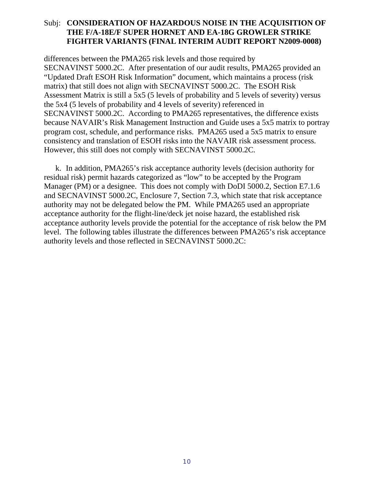differences between the PMA265 risk levels and those required by SECNAVINST 5000.2C. After presentation of our audit results, PMA265 provided an "Updated Draft ESOH Risk Information" document, which maintains a process (risk matrix) that still does not align with SECNAVINST 5000.2C. The ESOH Risk Assessment Matrix is still a 5x5 (5 levels of probability and 5 levels of severity) versus the 5x4 (5 levels of probability and 4 levels of severity) referenced in SECNAVINST 5000.2C. According to PMA265 representatives, the difference exists because NAVAIR's Risk Management Instruction and Guide uses a 5x5 matrix to portray program cost, schedule, and performance risks. PMA265 used a 5x5 matrix to ensure consistency and translation of ESOH risks into the NAVAIR risk assessment process. However, this still does not comply with SECNAVINST 5000.2C.

k. In addition, PMA265's risk acceptance authority levels (decision authority for residual risk) permit hazards categorized as "low" to be accepted by the Program Manager (PM) or a designee. This does not comply with DoDI 5000.2, Section E7.1.6 and SECNAVINST 5000.2C, Enclosure 7, Section 7.3, which state that risk acceptance authority may not be delegated below the PM. While PMA265 used an appropriate acceptance authority for the flight-line/deck jet noise hazard, the established risk acceptance authority levels provide the potential for the acceptance of risk below the PM level. The following tables illustrate the differences between PMA265's risk acceptance authority levels and those reflected in SECNAVINST 5000.2C: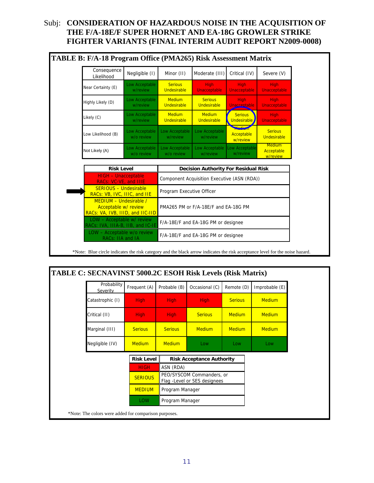| Consequence<br>Likelihood                                                          | Negligible (I)               | Minor (II)                                  | Moderate (III)                              | Critical (IV)                           | Severe (V)                              |
|------------------------------------------------------------------------------------|------------------------------|---------------------------------------------|---------------------------------------------|-----------------------------------------|-----------------------------------------|
| Near Certainty (E)                                                                 | Low Acceptable<br>w/review   | <b>Serious</b><br>Undesirable               | <b>High</b><br><b>Unacceptable</b>          | <b>High</b><br>Unacceptable             | <b>High</b><br><b>Unacceptable</b>      |
| Highly Likely (D)                                                                  | Low Acceptable<br>w/review   | <b>Medium</b><br>Undesirable                | <b>Serious</b><br><b>Undesirable</b>        | <b>High</b><br>Unacceptable             | <b>High</b><br><b>Unacceptable</b>      |
| Likely (C)                                                                         | Low Acceptable<br>w/review   | <b>Medium</b><br>Undesirable                | <b>Medium</b><br>Undesirable                | <b>Serious</b><br>Undesirable           | <b>High</b><br><b>Unacceptable</b>      |
| Low Likelihood (B)                                                                 | Low Acceptable<br>w/o review | Low Acceptable<br>w/review                  | Low Acceptable<br>w/review                  | <b>Wedium</b><br>Acceptable<br>w/review | <b>Serious</b><br>Undesirable           |
| Not Likely (A)                                                                     | Low Acceptable<br>w/o review | Low Acceptable<br>w/o review                | Low Acceptable<br>w/review                  | Low Acceptable<br>w/review              | <b>Medium</b><br>Acceptable<br>w/review |
| <b>Risk Level</b>                                                                  |                              |                                             | <b>Decision Authority For Residual Risk</b> |                                         |                                         |
| <b>HIGH - Unacceptable</b><br>RACs: VC-VE, and IIIE                                |                              | Component Acquisition Executive (ASN (RDA)) |                                             |                                         |                                         |
| <b>SERIOUS - Undesirable</b><br>RACs: VB, IVC, IIIC, and IIE                       |                              | Program Executive Officer                   |                                             |                                         |                                         |
| MEDIUM - Undesirable /<br>Acceptable w/ review<br>RACs: VA, IVB, IIID, and IIC-IID |                              | PMA265 PM or F/A-18E/F and EA-18G PM        |                                             |                                         |                                         |
| LOW - Acceptable w/ review<br>RACs: IVA, IIIA-B, IIB, and IC-IE                    |                              |                                             | F/A-18E/F and EA-18G PM or designee         |                                         |                                         |
| LOW - Acceptable w/o review<br>RACs: IIA and IA                                    |                              |                                             | F/A-18E/F and EA-18G PM or designee         |                                         |                                         |

\*Note: Blue circle indicates the risk category and the black arrow indicates the risk acceptance level for the noise hazard.

| Probability<br>Severity | Frequent (A)      | Probable (B)    | Occasional (C)                                             | Remote (D)     | Improbable (E) |
|-------------------------|-------------------|-----------------|------------------------------------------------------------|----------------|----------------|
| Catastrophic (I)        | High              | <b>High</b>     | <b>High</b>                                                | <b>Serious</b> | <b>Medium</b>  |
| Critical (II)           | High              | <b>High</b>     | <b>Serious</b>                                             | <b>Medium</b>  | <b>Medium</b>  |
| Marginal (III)          | <b>Serious</b>    | <b>Serious</b>  | <b>Medium</b>                                              | <b>Medium</b>  | <b>Medium</b>  |
| Negligible (IV)         | <b>Medium</b>     | <b>Medium</b>   | Low                                                        | Low            | Low            |
|                         | <b>Risk Level</b> |                 | <b>Risk Acceptance Authority</b>                           |                |                |
|                         | <b>HIGH</b>       | ASN (RDA)       |                                                            |                |                |
|                         | <b>SERIOUS</b>    |                 | PEO/SYSCOM Commanders, or<br>Flag - Level or SES designees |                |                |
|                         | <b>MEDIUM</b>     | Program Manager |                                                            |                |                |
|                         | <b>LOW</b>        | Program Manager |                                                            |                |                |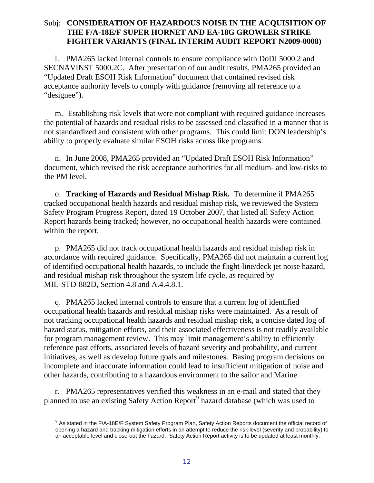l. PMA265 lacked internal controls to ensure compliance with DoDI 5000.2 and SECNAVINST 5000.2C. After presentation of our audit results, PMA265 provided an "Updated Draft ESOH Risk Information" document that contained revised risk acceptance authority levels to comply with guidance (removing all reference to a "designee").

 m. Establishing risk levels that were not compliant with required guidance increases the potential of hazards and residual risks to be assessed and classified in a manner that is not standardized and consistent with other programs. This could limit DON leadership's ability to properly evaluate similar ESOH risks across like programs.

 n. In June 2008, PMA265 provided an "Updated Draft ESOH Risk Information" document, which revised the risk acceptance authorities for all medium- and low-risks to the PM level.

o. **Tracking of Hazards and Residual Mishap Risk.** To determine if PMA265 tracked occupational health hazards and residual mishap risk, we reviewed the System Safety Program Progress Report, dated 19 October 2007, that listed all Safety Action Report hazards being tracked; however, no occupational health hazards were contained within the report.

 p. PMA265 did not track occupational health hazards and residual mishap risk in accordance with required guidance. Specifically, PMA265 did not maintain a current log of identified occupational health hazards, to include the flight-line/deck jet noise hazard, and residual mishap risk throughout the system life cycle, as required by MIL-STD-882D, Section 4.8 and A.4.4.8.1.

 q. PMA265 lacked internal controls to ensure that a current log of identified occupational health hazards and residual mishap risks were maintained. As a result of not tracking occupational health hazards and residual mishap risk, a concise dated log of hazard status, mitigation efforts, and their associated effectiveness is not readily available for program management review. This may limit management's ability to efficiently reference past efforts, associated levels of hazard severity and probability, and current initiatives, as well as develop future goals and milestones. Basing program decisions on incomplete and inaccurate information could lead to insufficient mitigation of noise and other hazards, contributing to a hazardous environment to the sailor and Marine.

 r. PMA265 representatives verified this weakness in an e-mail and stated that they planned to use an existing Safety Action Report<sup>[9](#page-13-0)</sup> hazard database (which was used to

<span id="page-13-0"></span> $\overline{a}$ 

<sup>&</sup>lt;sup>9</sup> As stated in the F/A-18E/F System Safety Program Plan, Safety Action Reports document the official record of opening a hazard and tracking mitigation efforts in an attempt to reduce the risk level (severity and probability) to an acceptable level and close-out the hazard. Safety Action Report activity is to be updated at least monthly.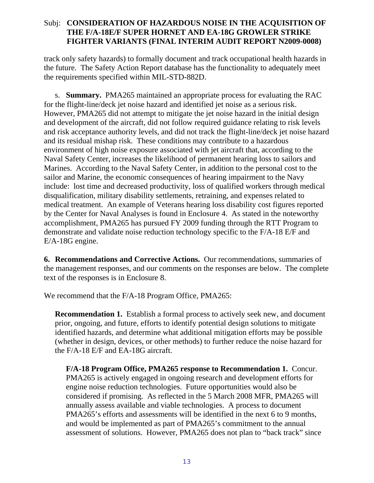track only safety hazards) to formally document and track occupational health hazards in the future. The Safety Action Report database has the functionality to adequately meet the requirements specified within MIL-STD-882D.

 s. **Summary.** PMA265 maintained an appropriate process for evaluating the RAC for the flight-line/deck jet noise hazard and identified jet noise as a serious risk. However, PMA265 did not attempt to mitigate the jet noise hazard in the initial design and development of the aircraft, did not follow required guidance relating to risk levels and risk acceptance authority levels, and did not track the flight-line/deck jet noise hazard and its residual mishap risk. These conditions may contribute to a hazardous environment of high noise exposure associated with jet aircraft that, according to the Naval Safety Center, increases the likelihood of permanent hearing loss to sailors and Marines. According to the Naval Safety Center, in addition to the personal cost to the sailor and Marine, the economic consequences of hearing impairment to the Navy include: lost time and decreased productivity, loss of qualified workers through medical disqualification, military disability settlements, retraining, and expenses related to medical treatment. An example of Veterans hearing loss disability cost figures reported by the Center for Naval Analyses is found in Enclosure 4. As stated in the noteworthy accomplishment, PMA265 has pursued FY 2009 funding through the RTT Program to demonstrate and validate noise reduction technology specific to the F/A-18 E/F and E/A-18G engine.

**6. Recommendations and Corrective Actions.** Our recommendations, summaries of the management responses, and our comments on the responses are below. The complete text of the responses is in Enclosure 8.

<span id="page-14-0"></span>We recommend that the F/A-18 Program Office, PMA265:

**Recommendation 1.** Establish a formal process to actively seek new, and document prior, ongoing, and future, efforts to identify potential design solutions to mitigate identified hazards, and determine what additional mitigation efforts may be possible (whether in design, devices, or other methods) to further reduce the noise hazard for the F/A-18 E/F and EA-18G aircraft.

**F/A-18 Program Office, PMA265 response to Recommendation 1.** Concur. PMA265 is actively engaged in ongoing research and development efforts for engine noise reduction technologies. Future opportunities would also be considered if promising. As reflected in the 5 March 2008 MFR, PMA265 will annually assess available and viable technologies. A process to document PMA265's efforts and assessments will be identified in the next 6 to 9 months, and would be implemented as part of PMA265's commitment to the annual assessment of solutions. However, PMA265 does not plan to "back track" since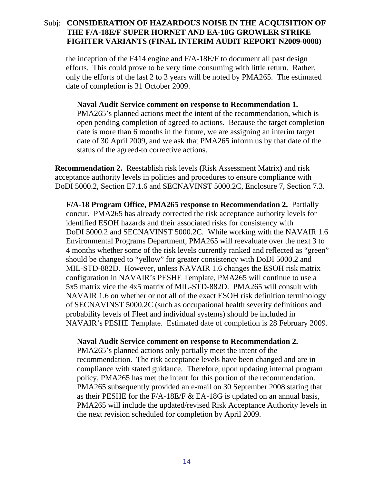the inception of the F414 engine and F/A-18E/F to document all past design efforts. This could prove to be very time consuming with little return. Rather, only the efforts of the last 2 to 3 years will be noted by PMA265. The estimated date of completion is 31 October 2009.

**Naval Audit Service comment on response to Recommendation 1.**  PMA265's planned actions meet the intent of the recommendation, which is open pending completion of agreed-to actions. Because the target completion date is more than 6 months in the future, we are assigning an interim target date of 30 April 2009, and we ask that PMA265 inform us by that date of the status of the agreed-to corrective actions.

<span id="page-15-0"></span>**Recommendation 2.** Reestablish risk levels **(**Risk Assessment Matrix**)** and risk acceptance authority levels in policies and procedures to ensure compliance with DoDI 5000.2, Section E7.1.6 and SECNAVINST 5000.2C, Enclosure 7, Section 7.3.

**F/A-18 Program Office, PMA265 response to Recommendation 2.** Partially concur.PMA265 has already corrected the risk acceptance authority levels for identified ESOH hazards and their associated risks for consistency with DoDI 5000.2 and SECNAVINST 5000.2C. While working with the NAVAIR 1.6 Environmental Programs Department, PMA265 will reevaluate over the next 3 to 4 months whether some of the risk levels currently ranked and reflected as "green" should be changed to "yellow" for greater consistency with DoDI 5000.2 and MIL-STD-882D. However, unless NAVAIR 1.6 changes the ESOH risk matrix configuration in NAVAIR's PESHE Template, PMA265 will continue to use a 5x5 matrix vice the 4x5 matrix of MIL-STD-882D. PMA265 will consult with NAVAIR 1.6 on whether or not all of the exact ESOH risk definition terminology of SECNAVINST 5000.2C (such as occupational health severity definitions and probability levels of Fleet and individual systems) should be included in NAVAIR's PESHE Template. Estimated date of completion is 28 February 2009.

#### **Naval Audit Service comment on response to Recommendation 2.**

PMA265's planned actions only partially meet the intent of the recommendation. The risk acceptance levels have been changed and are in compliance with stated guidance. Therefore, upon updating internal program policy, PMA265 has met the intent for this portion of the recommendation. PMA265 subsequently provided an e-mail on 30 September 2008 stating that as their PESHE for the F/A-18E/F & EA-18G is updated on an annual basis, PMA265 will include the updated/revised Risk Acceptance Authority levels in the next revision scheduled for completion by April 2009.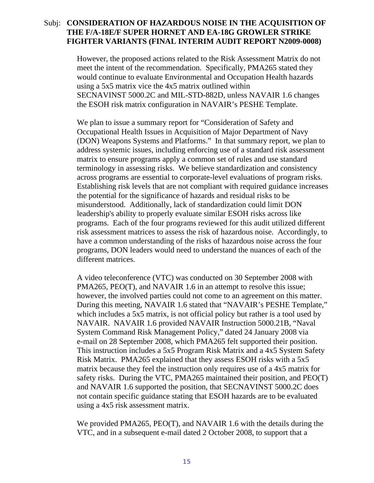However, the proposed actions related to the Risk Assessment Matrix do not meet the intent of the recommendation. Specifically, PMA265 stated they would continue to evaluate Environmental and Occupation Health hazards using a 5x5 matrix vice the 4x5 matrix outlined within SECNAVINST 5000.2C and MIL-STD-882D, unless NAVAIR 1.6 changes the ESOH risk matrix configuration in NAVAIR's PESHE Template.

We plan to issue a summary report for "Consideration of Safety and Occupational Health Issues in Acquisition of Major Department of Navy (DON) Weapons Systems and Platforms." In that summary report, we plan to address systemic issues, including enforcing use of a standard risk assessment matrix to ensure programs apply a common set of rules and use standard terminology in assessing risks. We believe standardization and consistency across programs are essential to corporate-level evaluations of program risks. Establishing risk levels that are not compliant with required guidance increases the potential for the significance of hazards and residual risks to be misunderstood. Additionally, lack of standardization could limit DON leadership's ability to properly evaluate similar ESOH risks across like programs. Each of the four programs reviewed for this audit utilized different risk assessment matrices to assess the risk of hazardous noise. Accordingly, to have a common understanding of the risks of hazardous noise across the four programs, DON leaders would need to understand the nuances of each of the different matrices.

A video teleconference (VTC) was conducted on 30 September 2008 with PMA265, PEO(T), and NAVAIR 1.6 in an attempt to resolve this issue; however, the involved parties could not come to an agreement on this matter. During this meeting, NAVAIR 1.6 stated that "NAVAIR's PESHE Template," which includes a 5x5 matrix, is not official policy but rather is a tool used by NAVAIR. NAVAIR 1.6 provided NAVAIR Instruction 5000.21B, "Naval System Command Risk Management Policy," dated 24 January 2008 via e-mail on 28 September 2008, which PMA265 felt supported their position. This instruction includes a 5x5 Program Risk Matrix and a 4x5 System Safety Risk Matrix. PMA265 explained that they assess ESOH risks with a 5x5 matrix because they feel the instruction only requires use of a 4x5 matrix for safety risks. During the VTC, PMA265 maintained their position, and PEO(T) and NAVAIR 1.6 supported the position, that SECNAVINST 5000.2C does not contain specific guidance stating that ESOH hazards are to be evaluated using a 4x5 risk assessment matrix.

We provided PMA265, PEO(T), and NAVAIR 1.6 with the details during the VTC, and in a subsequent e-mail dated 2 October 2008, to support that a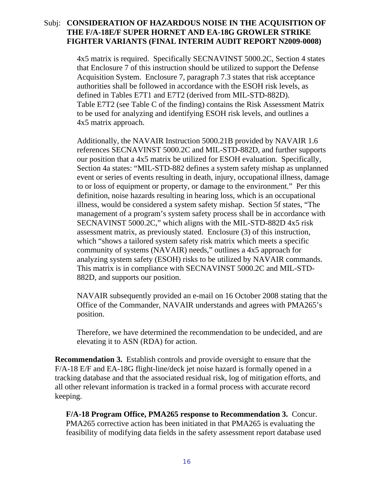4x5 matrix is required. Specifically SECNAVINST 5000.2C, Section 4 states that Enclosure 7 of this instruction should be utilized to support the Defense Acquisition System. Enclosure 7, paragraph 7.3 states that risk acceptance authorities shall be followed in accordance with the ESOH risk levels, as defined in Tables E7T1 and E7T2 (derived from MIL-STD-882D). Table E7T2 (see Table C of the finding) contains the Risk Assessment Matrix to be used for analyzing and identifying ESOH risk levels, and outlines a 4x5 matrix approach.

Additionally, the NAVAIR Instruction 5000.21B provided by NAVAIR 1.6 references SECNAVINST 5000.2C and MIL-STD-882D, and further supports our position that a 4x5 matrix be utilized for ESOH evaluation. Specifically, Section 4a states: "MIL-STD-882 defines a system safety mishap as unplanned event or series of events resulting in death, injury, occupational illness, damage to or loss of equipment or property, or damage to the environment." Per this definition, noise hazards resulting in hearing loss, which is an occupational illness, would be considered a system safety mishap. Section 5f states, "The management of a program's system safety process shall be in accordance with SECNAVINST 5000.2C," which aligns with the MIL-STD-882D 4x5 risk assessment matrix, as previously stated. Enclosure (3) of this instruction, which "shows a tailored system safety risk matrix which meets a specific community of systems (NAVAIR) needs," outlines a 4x5 approach for analyzing system safety (ESOH) risks to be utilized by NAVAIR commands. This matrix is in compliance with SECNAVINST 5000.2C and MIL-STD-882D, and supports our position.

NAVAIR subsequently provided an e-mail on 16 October 2008 stating that the Office of the Commander, NAVAIR understands and agrees with PMA265's position.

Therefore, we have determined the recommendation to be undecided, and are elevating it to ASN (RDA) for action.

<span id="page-17-0"></span>**Recommendation 3.** Establish controls and provide oversight to ensure that the F/A-18 E/F and EA-18G flight-line/deck jet noise hazard is formally opened in a tracking database and that the associated residual risk, log of mitigation efforts, and all other relevant information is tracked in a formal process with accurate record keeping.

**F/A-18 Program Office, PMA265 response to Recommendation 3.** Concur. PMA265 corrective action has been initiated in that PMA265 is evaluating the feasibility of modifying data fields in the safety assessment report database used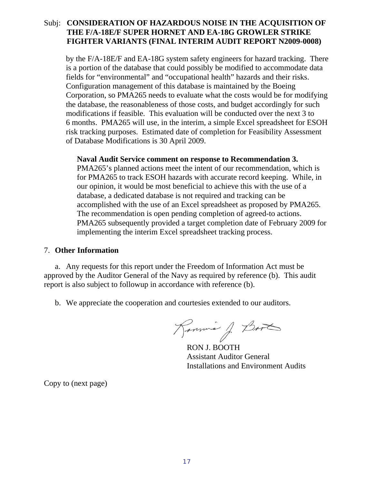by the F/A-18E/F and EA-18G system safety engineers for hazard tracking. There is a portion of the database that could possibly be modified to accommodate data fields for "environmental" and "occupational health" hazards and their risks. Configuration management of this database is maintained by the Boeing Corporation, so PMA265 needs to evaluate what the costs would be for modifying the database, the reasonableness of those costs, and budget accordingly for such modifications if feasible. This evaluation will be conducted over the next 3 to 6 months. PMA265 will use, in the interim, a simple Excel spreadsheet for ESOH risk tracking purposes. Estimated date of completion for Feasibility Assessment of Database Modifications is 30 April 2009.

#### **Naval Audit Service comment on response to Recommendation 3.**

PMA265's planned actions meet the intent of our recommendation, which is for PMA265 to track ESOH hazards with accurate record keeping. While, in our opinion, it would be most beneficial to achieve this with the use of a database, a dedicated database is not required and tracking can be accomplished with the use of an Excel spreadsheet as proposed by PMA265. The recommendation is open pending completion of agreed-to actions. PMA265 subsequently provided a target completion date of February 2009 for implementing the interim Excel spreadsheet tracking process.

#### 7. **Other Information**

a. Any requests for this report under the Freedom of Information Act must be approved by the Auditor General of the Navy as required by reference (b). This audit report is also subject to followup in accordance with reference (b).

b. We appreciate the cooperation and courtesies extended to our auditors.

Romme J. Book

RON J. BOOTH Assistant Auditor General Installations and Environment Audits

Copy to (next page)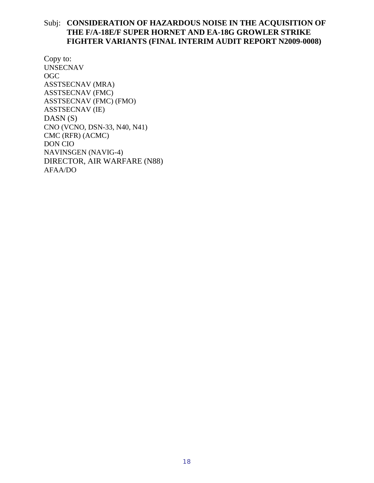Copy to: UNSECNAV OGC ASSTSECNAV (MRA) ASSTSECNAV (FMC) ASSTSECNAV (FMC) (FMO) ASSTSECNAV (IE)  $DASN(S)$ CNO (VCNO, DSN-33, N40, N41) CMC (RFR) (ACMC) DON CIO NAVINSGEN (NAVIG-4) DIRECTOR, AIR WARFARE (N88) AFAA/DO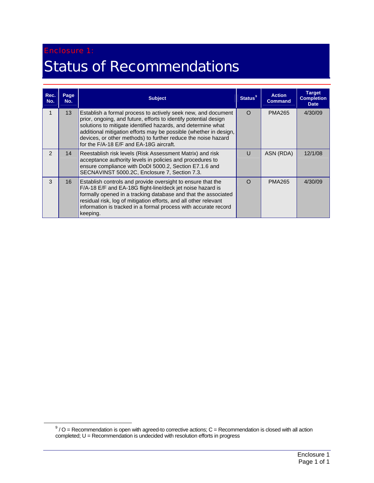#### Enclosure 1:

## <span id="page-20-0"></span>Status of Recommendations

| Rec.<br>No.   | Page<br>No.     | <b>Subject</b>                                                                                                                                                                                                                                                                                                                                                                     | <b>Status</b> <sup>9</sup> | <b>Action</b><br><b>Command</b> | <b>Target</b><br><b>Completion</b><br><b>Date</b> |
|---------------|-----------------|------------------------------------------------------------------------------------------------------------------------------------------------------------------------------------------------------------------------------------------------------------------------------------------------------------------------------------------------------------------------------------|----------------------------|---------------------------------|---------------------------------------------------|
| 1             | 13 <sup>2</sup> | Establish a formal process to actively seek new, and document<br>prior, ongoing, and future, efforts to identify potential design<br>solutions to mitigate identified hazards, and determine what<br>additional mitigation efforts may be possible (whether in design,<br>devices, or other methods) to further reduce the noise hazard<br>for the F/A-18 E/F and EA-18G aircraft. | $\Omega$                   | <b>PMA265</b>                   | 4/30/09                                           |
| $\mathcal{P}$ | 14              | Reestablish risk levels (Risk Assessment Matrix) and risk<br>acceptance authority levels in policies and procedures to<br>ensure compliance with DoDI 5000.2, Section E7.1.6 and<br>SECNAVINST 5000.2C, Enclosure 7, Section 7.3.                                                                                                                                                  | U                          | ASN (RDA)                       | 12/1/08                                           |
| 3             | 16 <sup>1</sup> | Establish controls and provide oversight to ensure that the<br>F/A-18 E/F and EA-18G flight-line/deck jet noise hazard is<br>formally opened in a tracking database and that the associated<br>residual risk, log of mitigation efforts, and all other relevant<br>information is tracked in a formal process with accurate record<br>keeping.                                     | $\Omega$                   | <b>PMA265</b>                   | 4/30/09                                           |

<span id="page-20-1"></span>enterprise methods of the commendation is open with agreed-to corrective actions; C = Recommendation is closed with all action of  $\theta$  / O = Recommendation is closed with all action completed; U = Recommendation is undecided with resolution efforts in progress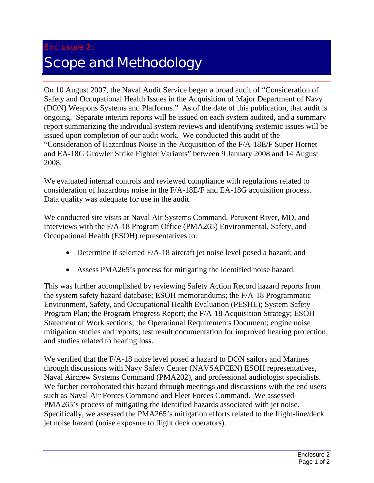### <span id="page-21-0"></span>Enclosure 2: Scope and Methodology

On 10 August 2007, the Naval Audit Service began a broad audit of "Consideration of Safety and Occupational Health Issues in the Acquisition of Major Department of Navy (DON) Weapons Systems and Platforms." As of the date of this publication, that audit is ongoing. Separate interim reports will be issued on each system audited, and a summary report summarizing the individual system reviews and identifying systemic issues will be issued upon completion of our audit work. We conducted this audit of the "Consideration of Hazardous Noise in the Acquisition of the F/A-18E/F Super Hornet and EA-18G Growler Strike Fighter Variants" between 9 January 2008 and 14 August 2008.

We evaluated internal controls and reviewed compliance with regulations related to consideration of hazardous noise in the F/A-18E/F and EA-18G acquisition process. Data quality was adequate for use in the audit.

We conducted site visits at Naval Air Systems Command, Patuxent River, MD, and interviews with the F/A-18 Program Office (PMA265) Environmental, Safety, and Occupational Health (ESOH) representatives to:

- Determine if selected F/A-18 aircraft jet noise level posed a hazard; and
- Assess PMA265's process for mitigating the identified noise hazard.

This was further accomplished by reviewing Safety Action Record hazard reports from the system safety hazard database; ESOH memorandums; the F/A-18 Programmatic Environment, Safety, and Occupational Health Evaluation (PESHE); System Safety Program Plan; the Program Progress Report; the F/A-18 Acquisition Strategy; ESOH Statement of Work sections; the Operational Requirements Document; engine noise mitigation studies and reports; test result documentation for improved hearing protection; and studies related to hearing loss.

We verified that the F/A-18 noise level posed a hazard to DON sailors and Marines through discussions with Navy Safety Center (NAVSAFCEN) ESOH representatives, Naval Aircrew Systems Command (PMA202), and professional audiologist specialists. We further corroborated this hazard through meetings and discussions with the end users such as Naval Air Forces Command and Fleet Forces Command. We assessed PMA265's process of mitigating the identified hazards associated with jet noise. Specifically, we assessed the PMA265's mitigation efforts related to the flight-line/deck jet noise hazard (noise exposure to flight deck operators).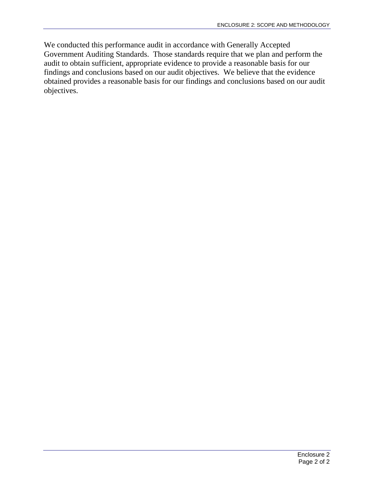We conducted this performance audit in accordance with Generally Accepted Government Auditing Standards. Those standards require that we plan and perform the audit to obtain sufficient, appropriate evidence to provide a reasonable basis for our findings and conclusions based on our audit objectives. We believe that the evidence obtained provides a reasonable basis for our findings and conclusions based on our audit objectives.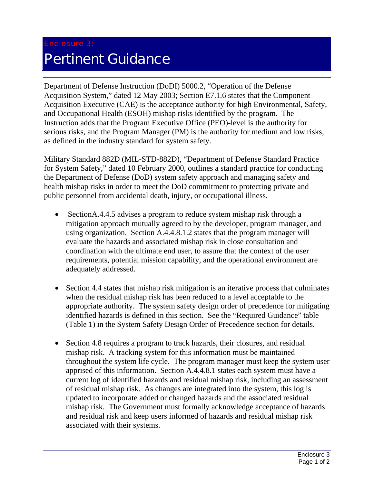#### Enclosure 3:

### <span id="page-23-0"></span>Pertinent Guidance

Department of Defense Instruction (DoDI) 5000.2, "Operation of the Defense Acquisition System," dated 12 May 2003; Section E7.1.6 states that the Component Acquisition Executive (CAE) is the acceptance authority for high Environmental, Safety, and Occupational Health (ESOH) mishap risks identified by the program. The Instruction adds that the Program Executive Office (PEO)-level is the authority for serious risks, and the Program Manager (PM) is the authority for medium and low risks, as defined in the industry standard for system safety.

Military Standard 882D (MIL-STD-882D), "Department of Defense Standard Practice for System Safety," dated 10 February 2000, outlines a standard practice for conducting the Department of Defense (DoD) system safety approach and managing safety and health mishap risks in order to meet the DoD commitment to protecting private and public personnel from accidental death, injury, or occupational illness.

- Section A.4.4.5 advises a program to reduce system mishap risk through a mitigation approach mutually agreed to by the developer, program manager, and using organization. Section A.4.4.8.1.2 states that the program manager will evaluate the hazards and associated mishap risk in close consultation and coordination with the ultimate end user, to assure that the context of the user requirements, potential mission capability, and the operational environment are adequately addressed.
- Section 4.4 states that mishap risk mitigation is an iterative process that culminates when the residual mishap risk has been reduced to a level acceptable to the appropriate authority. The system safety design order of precedence for mitigating identified hazards is defined in this section. See the "Required Guidance" table (Table 1) in the System Safety Design Order of Precedence section for details.
- Section 4.8 requires a program to track hazards, their closures, and residual mishap risk. A tracking system for this information must be maintained throughout the system life cycle. The program manager must keep the system user apprised of this information. Section A.4.4.8.1 states each system must have a current log of identified hazards and residual mishap risk, including an assessment of residual mishap risk. As changes are integrated into the system, this log is updated to incorporate added or changed hazards and the associated residual mishap risk. The Government must formally acknowledge acceptance of hazards and residual risk and keep users informed of hazards and residual mishap risk associated with their systems.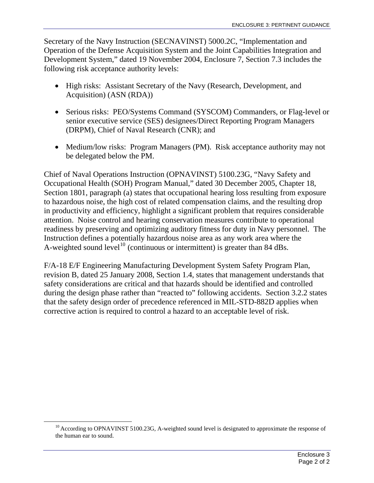Secretary of the Navy Instruction (SECNAVINST) 5000.2C, "Implementation and Operation of the Defense Acquisition System and the Joint Capabilities Integration and Development System," dated 19 November 2004, Enclosure 7, Section 7.3 includes the following risk acceptance authority levels:

- High risks: Assistant Secretary of the Navy (Research, Development, and Acquisition) (ASN (RDA))
- Serious risks: PEO/Systems Command (SYSCOM) Commanders, or Flag-level or senior executive service (SES) designees/Direct Reporting Program Managers (DRPM), Chief of Naval Research (CNR); and
- Medium/low risks: Program Managers (PM). Risk acceptance authority may not be delegated below the PM.

Chief of Naval Operations Instruction (OPNAVINST) 5100.23G, "Navy Safety and Occupational Health (SOH) Program Manual," dated 30 December 2005, Chapter 18, Section 1801, paragraph (a) states that occupational hearing loss resulting from exposure to hazardous noise, the high cost of related compensation claims, and the resulting drop in productivity and efficiency, highlight a significant problem that requires considerable attention. Noise control and hearing conservation measures contribute to operational readiness by preserving and optimizing auditory fitness for duty in Navy personnel. The Instruction defines a potentially hazardous noise area as any work area where the A-weighted sound level<sup>[10](#page-24-0)</sup> (continuous or intermittent) is greater than 84 dBs.

F/A-18 E/F Engineering Manufacturing Development System Safety Program Plan, revision B, dated 25 January 2008, Section 1.4, states that management understands that safety considerations are critical and that hazards should be identified and controlled during the design phase rather than "reacted to" following accidents. Section 3.2.2 states that the safety design order of precedence referenced in MIL-STD-882D applies when corrective action is required to control a hazard to an acceptable level of risk.

<span id="page-24-0"></span><sup>&</sup>lt;sup>10</sup> According to OPNAVINST 5100.23G, A-weighted sound level is designated to approximate the response of the human ear to sound.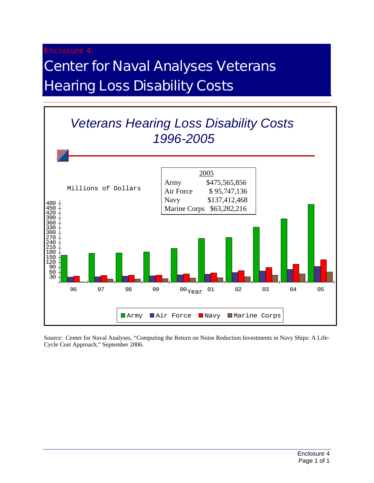#### Enclosure 4:

### <span id="page-25-0"></span>Center for Naval Analyses Veterans **Hearing Loss Disability Costs**



Source: Center for Naval Analyses, "Computing the Return on Noise Reduction Investments in Navy Ships: A Life-Cycle Cost Approach," September 2006.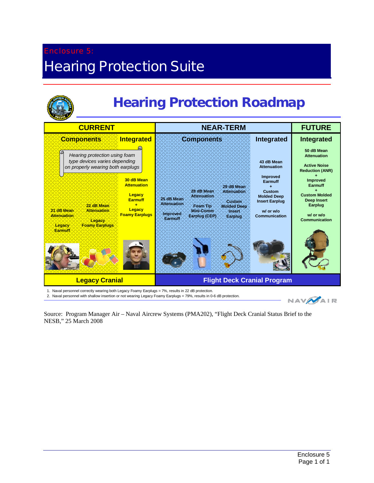### <span id="page-26-0"></span>Enclosure 5: **Hearing Protection Suite**



| <b>CURRENT</b>                                                                                                                | <b>NEAR-TERM</b>                                                                                                                                                         | <b>FUTURE</b>                                                                                         |                                                                                          |
|-------------------------------------------------------------------------------------------------------------------------------|--------------------------------------------------------------------------------------------------------------------------------------------------------------------------|-------------------------------------------------------------------------------------------------------|------------------------------------------------------------------------------------------|
| Integrated<br><b>Components</b>                                                                                               | <b>Components</b>                                                                                                                                                        | <b>Integrated</b>                                                                                     | Integrated                                                                               |
| Hearing protection using foam<br>type devices varies depending<br>on properly wearing both earplugs                           |                                                                                                                                                                          | 43 dB Mean<br><b>Attenuation</b>                                                                      | 50 dB Mean<br><b>Attenuation</b><br><b>Active Noise</b><br><b>Reduction (ANR)</b>        |
| 30 dB Mean<br><b>Attenuation</b><br>Legacy<br><b>Earmuff</b><br>÷<br>22 dB Mean<br>Legacy<br>21:dB:Mean<br><b>Attenuation</b> | 29 dB Mean<br>28 dB Mean:<br>Attenuation:<br>Attenuation<br>25 dB Mean<br><b>Custom</b><br>Attenuation:<br>Foam Tip<br><b>Molded Deep</b><br>·Mini-Comm<br><b>Insert</b> | Improved<br>Earmuff<br>٠<br><b>Custom</b><br><b>Molded Deep</b><br><b>Insert Earplug</b><br>w/ or w/o | <b>Improved</b><br>Earmuff<br>÷<br><b>Custom Molded</b><br><b>Deep Insert</b><br>Earplug |
| <b>Foamy Earplugs</b><br>Attenuation<br>Legacy<br>Foamy Earplugs<br>Legacy<br><b>Earmuff</b>                                  | Improved<br>Earplug (CEP):<br>:Earplug<br>Earmuff                                                                                                                        | <b>Communication</b>                                                                                  | w/ or w/o<br><b>Communication</b>                                                        |
| <b>Legacy Cranial</b>                                                                                                         | <b>Flight Deck Cranial Program</b>                                                                                                                                       |                                                                                                       |                                                                                          |

1. Naval personnel correctly wearing both Legacy Foamy Earplugs = 7%, results in 22 dB protection.

2. Naval personnel with shallow insertion or not wearing Legacy Foamy Earplugs = 79%, results in 0-6 dB protection.

**NAV**AIR

Source: Program Manager Air – Naval Aircrew Systems (PMA202), "Flight Deck Cranial Status Brief to the NESB," 25 March 2008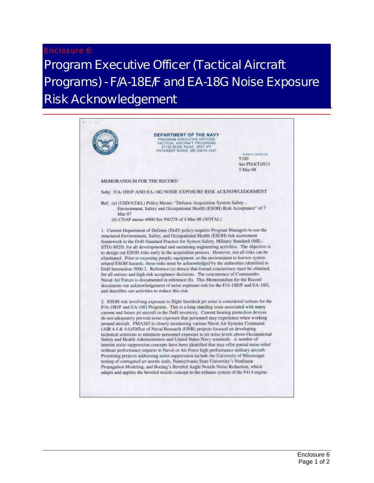#### Enclosure 6:

### <span id="page-27-0"></span>Program Executive Officer (Tactical Aircraft Programs) - F/A-18E/F and EA-18G Noise Exposure Risk Acknowledgement

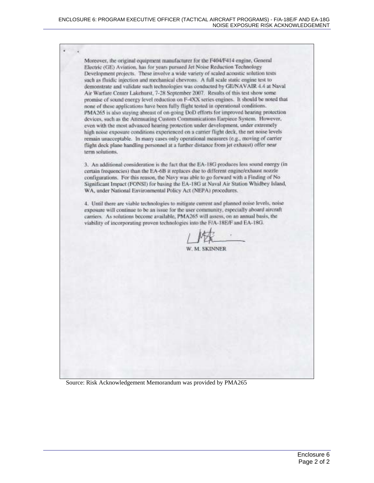Moreover, the original equipment manufacturer for the F404/F414 engine, General Electric (GE) Aviation, has for years pursued Jet Noise Reduction Technology Development projects. These involve a wide variety of scaled acoustic solution tests such as fluidic injection and mechanical chevrons. A full scale static engine test to demonstrate and validate such technologies was conducted by GE/NAVAIR 4.4 at Naval Air Warfare Center Lakehurst, 7-28 September 2007. Results of this test show some promise of sound energy level reduction on F-4XX series engines. It should be noted that none of these applications have been fully flight tested in operational conditions. PMA265 is also staving abreast of on-going DoD efforts for improved hearing protection devices, such as the Attenuating Custom Communications Earpiece System. However, even with the most advanced hearing protection under development, under extremely high noise exposure conditions experienced on a carrier flight deck, the net noise levels remain unacceptable. In many cases only operational measures (e.g., moving of carrier flight deck plane handling personnel at a further distance from jet exhaust) offer near term solutions.

3. An additional consideration is the fact that the EA-18G produces less sound energy (in certain frequencies) than the EA-6B it replaces due to different engine/exhaust nozzle configurations. For this reason, the Navy was able to go forward with a Finding of No. Significant Impact (FONSI) for basing the EA-18G at Naval Air Station Whidbey Island, WA, under National Environmental Policy Act (NEPA) procedures.

4. Until there are viable technologies to mitigate current and planned noise levels, noise exposure will continue to be an issue for the user community, especially abourd aircraft carriers. As solutions become available, PMA265 will assess, on an annual basis, the viability of incorporating proven technologies into the F/A-18E/F and EA-18G.

**M. SKINNER** 

Source: Risk Acknowledgement Memorandum was provided by PMA265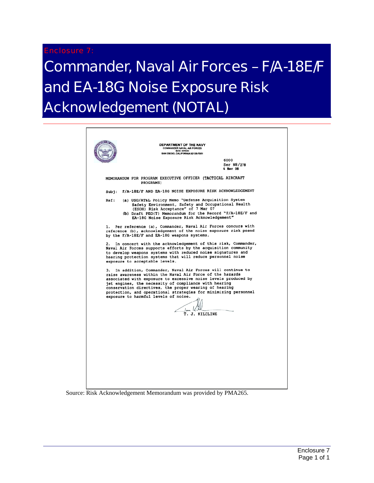#### Enclosure 7:

## <span id="page-29-0"></span>Commander, Naval Air Forces – F/A-18E/F and EA-18G Noise Exposure Risk Acknowledgement (NOTAL)

|      | DEPARTMENT OF THE NAVY<br><b>COMMANDER NAVAL AIR FORCES</b><br><b>BOX 357051</b><br>SAN DIEGO, CALIFORNIA 92135-7051                                                                                                                                                                                                                                                                                                                                                                           |
|------|------------------------------------------------------------------------------------------------------------------------------------------------------------------------------------------------------------------------------------------------------------------------------------------------------------------------------------------------------------------------------------------------------------------------------------------------------------------------------------------------|
|      | 6000<br><b>Ser N8/278</b><br>4 Mar 08                                                                                                                                                                                                                                                                                                                                                                                                                                                          |
|      | MEMORANDUM FOR PROGRAM EXECUTIVE OFFICER (TACTICAL AIRCRAFT<br>PROGRAMS)                                                                                                                                                                                                                                                                                                                                                                                                                       |
|      | Subj: F/A-18E/F AND EA-18G NOISE EXPOSURE RISK ACKNOWLEDGEMENT                                                                                                                                                                                                                                                                                                                                                                                                                                 |
| Ref: | (a) USD/AT&L Policy Memo "Defense Acquisition System<br>Safety Environment, Safety and Occupational Health<br>(ESOH) Risk Acceptance" of 7 Mar 07<br>(b) Draft PEO(T) Memorandum for the Record "F/A-18E/F and<br>EA-18G Noise Exposure Risk Acknowledgement"                                                                                                                                                                                                                                  |
| 1.   | Per reference (a), Commander, Naval Air Forces concurs with<br>reference (b), acknowledgement of the noise exposure risk posed<br>by the F/A-18E/F and EA-18G weapons systems.                                                                                                                                                                                                                                                                                                                 |
| 3.   | 2. In concert with the acknowledgement of this risk, Commander,<br>Naval Air Forces supports efforts by the acquisition community<br>to develop weapons systems with reduced noise signatures and<br>hearing protection systems that will reduce personnel noise<br>exposure to acceptable levels.<br>In addition, Commander, Naval Air Forces will continue to<br>raise awareness within the Naval Air Force of the hazards<br>associated with exposure to excessive noise levels produced by |
|      | jet engines, the necessity of compliance with hearing<br>conservation directives, the proper wearing of hearing<br>protection, and operational strategies for minimizing personnel<br>exposure to harmful levels of noise.<br>T. J. KILCLINE                                                                                                                                                                                                                                                   |
|      |                                                                                                                                                                                                                                                                                                                                                                                                                                                                                                |
|      |                                                                                                                                                                                                                                                                                                                                                                                                                                                                                                |
|      |                                                                                                                                                                                                                                                                                                                                                                                                                                                                                                |
|      |                                                                                                                                                                                                                                                                                                                                                                                                                                                                                                |

#### Source: Risk Acknowledgement Memorandum was provided by PMA265.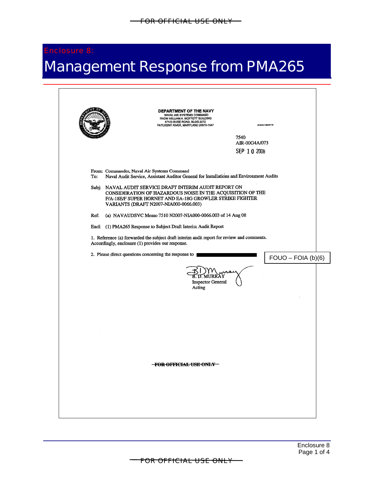#### Enclosure 8:

## Management Response from PMA265

|                                                                                                                                                               | DEPARTMENT OF THE NAVY<br>NAVAL AIR SYSTEMS COMMAND<br>RADM WILLIAM A. MOFFETT BUILDING<br>47123 BUSE ROAD, BLDG 2272<br>PATUXENT RIVER, MARYLAND 20670-1547<br><b>BIREPLY REFER TO</b> |
|---------------------------------------------------------------------------------------------------------------------------------------------------------------|-----------------------------------------------------------------------------------------------------------------------------------------------------------------------------------------|
|                                                                                                                                                               |                                                                                                                                                                                         |
|                                                                                                                                                               | 7540<br>AIR-00G4A/073                                                                                                                                                                   |
|                                                                                                                                                               | SEP 10 2008                                                                                                                                                                             |
|                                                                                                                                                               |                                                                                                                                                                                         |
| From: Commander, Naval Air Systems Command<br>To:                                                                                                             | Naval Audit Service, Assistant Auditor General for Installations and Environment Audits                                                                                                 |
| Subj: NAVAL AUDIT SERVICE DRAFT INTERIM AUDIT REPORT ON<br>F/A-18E/F SUPER HORNET AND EA-18G GROWLER STRIKE FIGHTER<br>VARIANTS (DRAFT N2007-NIA000-0066.003) | CONSIDERATION OF HAZARDOUS NOISE IN THE ACQUISITION OF THE                                                                                                                              |
| (a) NAVAUDSVC Memo 7510 N2007-NIA000-0066.003 of 14 Aug 08<br>Ref:                                                                                            |                                                                                                                                                                                         |
| Encl: (1) PMA265 Response to Subject Draft Interim Audit Report                                                                                               |                                                                                                                                                                                         |
| 1. Reference (a) forwarded the subject draft interim audit report for review and comments.<br>Accordingly, enclosure (1) provides our response.               |                                                                                                                                                                                         |
| 2. Please direct questions concerning the response to                                                                                                         | $FOUO - FOIA (b)(6)$                                                                                                                                                                    |
|                                                                                                                                                               | B. D. MURRAY<br><b>Inspector General</b><br>Acting                                                                                                                                      |
|                                                                                                                                                               |                                                                                                                                                                                         |
|                                                                                                                                                               |                                                                                                                                                                                         |
|                                                                                                                                                               |                                                                                                                                                                                         |
|                                                                                                                                                               |                                                                                                                                                                                         |
|                                                                                                                                                               |                                                                                                                                                                                         |
|                                                                                                                                                               |                                                                                                                                                                                         |
|                                                                                                                                                               | <del>-FOR OFFICIAL USE ONLY-</del>                                                                                                                                                      |
|                                                                                                                                                               |                                                                                                                                                                                         |
|                                                                                                                                                               |                                                                                                                                                                                         |
|                                                                                                                                                               |                                                                                                                                                                                         |
|                                                                                                                                                               |                                                                                                                                                                                         |
|                                                                                                                                                               |                                                                                                                                                                                         |

FOR OFFICIAL USE ONLY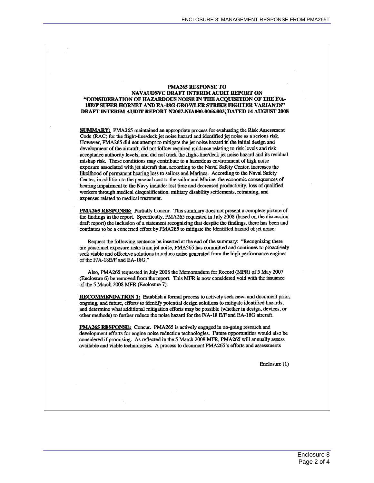#### **PMA265 RESPONSE TO** NAVAUDSVC DRAFT INTERIM AUDIT REPORT ON "CONSIDERATION OF HAZARDOUS NOISE IN THE ACQUISITION OF THE F/A-**18E/F SUPER HORNET AND EA-18G GROWLER STRIKE FIGHTER VARIANTS"** DRAFT INTERIM AUDIT REPORT N2007-NIA000-0066.003, DATED 14 AUGUST 2008

**SUMMARY:** PMA265 maintained an appropriate process for evaluating the Risk Assessment Code (RAC) for the flight-line/deck jet noise hazard and identified jet noise as a serious risk. However, PMA265 did not attempt to mitigate the jet noise hazard in the initial design and development of the aircraft, did not follow required guidance relating to risk levels and risk acceptance authority levels, and did not track the flight-line/deck jet noise hazard and its residual mishap risk. These conditions may contribute to a hazardous environment of high noise exposure associated with jet aircraft that, according to the Naval Safety Center, increases the likelihood of permanent hearing loss to sailors and Marines. According to the Naval Safety Center, in addition to the personal cost to the sailor and Marine, the economic consequences of hearing impairment to the Navy include: lost time and decreased productivity, loss of qualified workers through medical disqualification, military disability settlements, retraining, and expenses related to medical treatment.

PMA265 RESPONSE: Partially Concur. This summary does not present a complete picture of the findings in the report. Specifically, PMA265 requested in July 2008 (based on the discussion draft report) the inclusion of a statement recognizing that despite the findings, there has been and continues to be a concerted effort by PMA265 to mitigate the identified hazard of jet noise.

Request the following sentence be inserted at the end of the summary: "Recognizing there are personnel exposure risks from jet noise, PMA265 has committed and continues to proactively seek viable and effective solutions to reduce noise generated from the high performance engines of the F/A-18E/F and EA-18G."

Also, PMA265 requested in July 2008 the Memorandum for Record (MFR) of 5 May 2007 (Enclosure 6) be removed from the report. This MFR is now considered void with the issuance of the 5 March 2008 MFR (Enclosure 7).

**RECOMMENDATION 1:** Establish a formal process to actively seek new, and document prior, ongoing, and future, efforts to identify potential design solutions to mitigate identified hazards, and determine what additional mitigation efforts may be possible (whether in design, devices, or other methods) to further reduce the noise hazard for the F/A-18 E/F and EA-18G aircraft.

PMA265 RESPONSE: Concur. PMA265 is actively engaged in on-going research and development efforts for engine noise reduction technologies. Future opportunities would also be considered if promising. As reflected in the 5 March 2008 MFR, PMA265 will annually assess available and viable technologies. A process to document PMA265's efforts and assessments

Enclosure (1)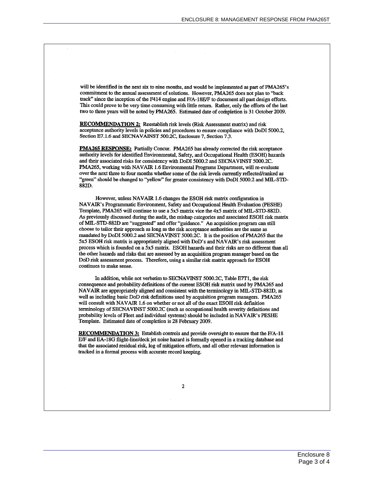will be identified in the next six to nine months, and would be implemented as part of PMA265's commitment to the annual assessment of solutions. However, PMA265 does not plan to "back track" since the inception of the F414 engine and F/A-18E/F to document all past design efforts. This could prove to be very time consuming with little return. Rather, only the efforts of the last two to three years will be noted by PMA265. Estimated date of completion is 31 October 2009.

**RECOMMENDATION 2:** Reestablish risk levels (Risk Assessment matrix) and risk acceptance authority levels in policies and procedures to ensure compliance with DoDI 5000.2, Section E7.1.6 and SECNAVAINST 500.2C, Enclosure 7, Section 7.3.

**PMA265 RESPONSE:** Partially Concur. PMA265 has already corrected the risk acceptance authority levels for identified Environmental, Safety, and Occupational Health (ESOH) hazards and their associated risks for consistency with DoDI 5000.2 and SECNAVINST 5000.2C. PMA265, working with NAVAIR 1.6 Environmental Programs Department, will re-evaluate over the next three to four months whether some of the risk levels currently reflected/ranked as "green" should be changed to "yellow" for greater consistency with DoDI 5000.2 and MIL-STD-882D.

However, unless NAVAIR 1.6 changes the ESOH risk matrix configuration in NAVAIR's Programmatic Environment, Safety and Occupational Health Evaluation (PESHE) Template, PMA265 will continue to use a 5x5 matrix vice the 4x5 matrix of MIL-STD-882D. As previously discussed during the audit, the mishap categories and associated ESOH risk matrix of MIL-STD-882D are "suggested" and offer "guidance." An acquisition program can still choose to tailor their approach as long as the risk acceptance authorities are the same as mandated by DoDI 5000.2 and SECNAVINST 5000.2C. It is the position of PMA265 that the 5x5 ESOH risk matrix is appropriately aligned with DoD's and NAVAIR's risk assessment process which is founded on a 5x5 matrix. ESOH hazards and their risks are no different than all the other hazards and risks that are assessed by an acquisition program manager based on the DoD risk assessment process. Therefore, using a similar risk matrix approach for ESOH continues to make sense.

In addition, while not verbatim to SECNAVINST 5000.2C, Table E7T1, the risk consequence and probability definitions of the current ESOH risk matrix used by PMA265 and NAVAIR are appropriately aligned and consistent with the terminology in MIL-STD-882D, as well as including basic DoD risk definitions used by acquisition program managers. PMA265 will consult with NAVAIR 1.6 on whether or not all of the exact ESOH risk definition terminology of SECNAVINST 5000.2C (such as occupational health severity definitions and probability levels of Fleet and individual systems) should be included in NAVAIR's PESHE Template. Estimated date of completion is 28 February 2009.

**RECOMMENDATION 3:** Establish controls and provide oversight to ensure that the F/A-18 E/F and EA-18G flight-line/deck jet noise hazard is formally opened in a tracking database and that the associated residual risk, log of mitigation efforts, and all other relevant information is tracked in a formal process with accurate record keeping.

 $\boldsymbol{z}$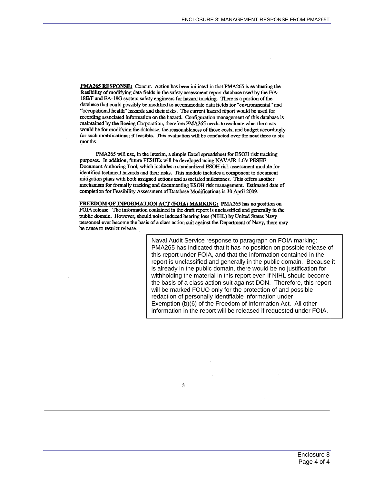**PMA265 RESPONSE:** Concur. Action has been initiated in that PMA265 is evaluating the feasibility of modifying data fields in the safety assessment report database used by the F/A-18E/F and EA-18G system safety engineers for hazard tracking. There is a portion of the database that could possibly be modified to accommodate data fields for "environmental" and "occupational health" hazards and their risks. The current hazard report would be used for recording associated information on the hazard. Configuration management of this database is maintained by the Boeing Corporation, therefore PMA265 needs to evaluate what the costs would be for modifying the database, the reasonableness of those costs, and budget accordingly for such modifications: if feasible. This evaluation will be conducted over the next three to six months.

PMA265 will use, in the interim, a simple Excel spreadsheet for ESOH risk tracking purposes. In addition, future PESHEs will be developed using NAVAIR 1.6's PESHE Document Authoring Tool, which includes a standardized ESOH risk assessment module for identified technical hazards and their risks. This module includes a component to document mitigation plans with both assigned actions and associated milestones. This offers another mechanism for formally tracking and documenting ESOH risk management. Estimated date of completion for Feasibility Assessment of Database Modifications is 30 April 2009.

FREEDOM OF INFORMATION ACT (FOIA) MARKING: PMA265 has no position on FOIA release. The information contained in the draft report is unclassified and generally in the public domain. However, should noise induced hearing loss (NIHL) by United States Navy personnel ever become the basis of a class action suit against the Department of Navy, there may be cause to restrict release.

> Naval Audit Service response to paragraph on FOIA marking: PMA265 has indicated that it has no position on possible release of this report under FOIA, and that the information contained in the report is unclassified and generally in the public domain. Because it is already in the public domain, there would be no justification for withholding the material in this report even if NIHL should become the basis of a class action suit against DON. Therefore, this report will be marked FOUO only for the protection of and possible redaction of personally identifiable information under Exemption (b)(6) of the Freedom of Information Act. All other information in the report will be released if requested under FOIA.

> > 3